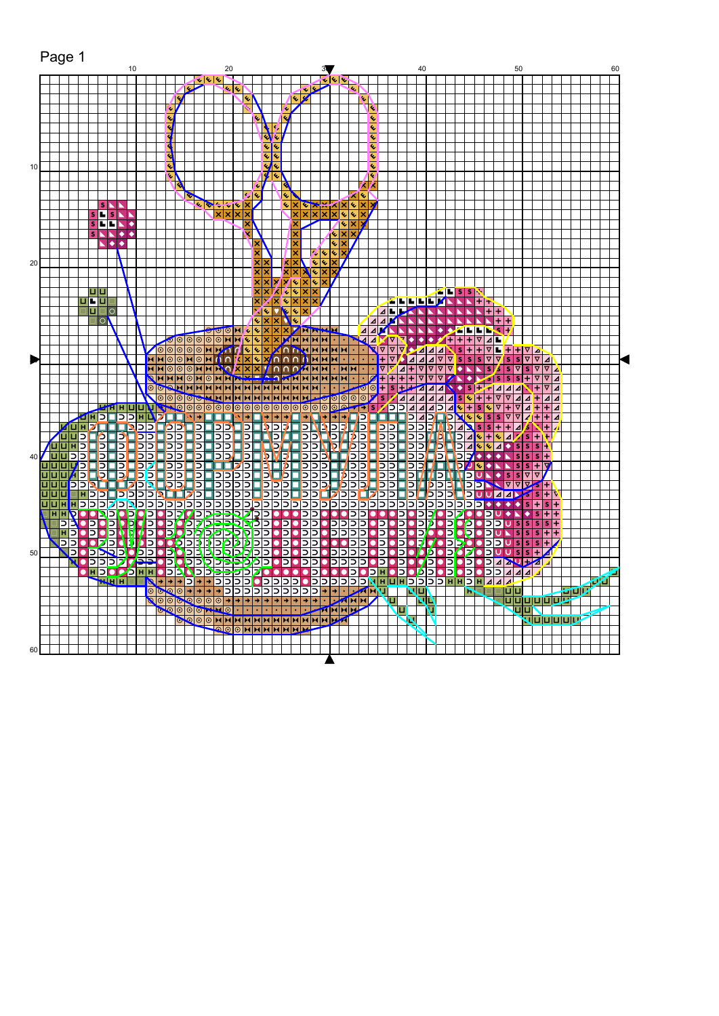